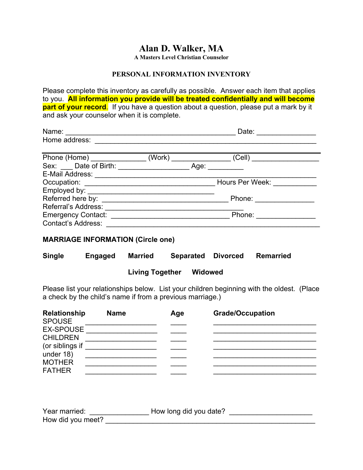# **Alan D. Walker, MA**

**A Masters Level Christian Counselor**

#### **PERSONAL INFORMATION INVENTORY**

Please complete this inventory as carefully as possible. Answer each item that applies to you. **All information you provide will be treated confidentially and will become part of your record.** If you have a question about a question, please put a mark by it and ask your counselor when it is complete.

| Name:                        |        |      | Date:           |
|------------------------------|--------|------|-----------------|
| Home address:                |        |      |                 |
| Phone (Home) _______________ | (Work) |      | (Cell)          |
|                              |        | Age: |                 |
|                              |        |      |                 |
|                              |        |      | Hours Per Week: |
|                              |        |      |                 |
| Referred here by:            |        |      | Phone:          |
| Referral's Address:          |        |      |                 |
| <b>Emergency Contact:</b>    |        |      | Phone:          |
| <b>Contact's Address:</b>    |        |      |                 |

### **MARRIAGE INFORMATION (Circle one)**

| <b>Single</b> | Engaged | <b>Married</b>         | <b>Separated</b> | Divorced | <b>Remarried</b> |
|---------------|---------|------------------------|------------------|----------|------------------|
|               |         | <b>Living Together</b> | Widowed          |          |                  |

Please list your relationships below. List your children beginning with the oldest. (Place a check by the child's name if from a previous marriage.)

| <b>Relationship</b><br><b>SPOUSE</b> | <b>Name</b> | Age | <b>Grade/Occupation</b> |  |
|--------------------------------------|-------------|-----|-------------------------|--|
| <b>EX-SPOUSE</b>                     |             |     |                         |  |
| <b>CHILDREN</b>                      |             |     |                         |  |
| (or siblings if                      |             |     |                         |  |
| under 18)                            |             |     |                         |  |
| <b>MOTHER</b>                        |             |     |                         |  |
| <b>FATHER</b>                        |             |     |                         |  |

| Year married:     | How long did you date? |  |
|-------------------|------------------------|--|
| How did you meet? |                        |  |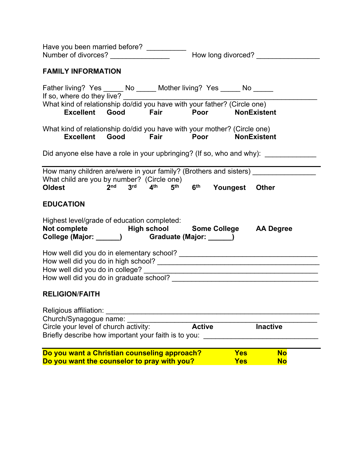| Have you been married before? __________                                                                                                                                          |                                                                              |               |                          |                        |  |
|-----------------------------------------------------------------------------------------------------------------------------------------------------------------------------------|------------------------------------------------------------------------------|---------------|--------------------------|------------------------|--|
| <b>FAMILY INFORMATION</b>                                                                                                                                                         |                                                                              |               |                          |                        |  |
| Father living? Yes ______ No ______ Mother living? Yes ______ No ______<br>If so, where do they live?<br>What kind of relationship do/did you have with your father? (Circle one) |                                                                              |               |                          |                        |  |
| What kind of relationship do/did you have with your mother? (Circle one)                                                                                                          | Excellent Good Fair Poor NonExistent<br>Excellent Good Fair Poor NonExistent |               |                          |                        |  |
| Did anyone else have a role in your upbringing? (If so, who and why): __________                                                                                                  |                                                                              |               |                          |                        |  |
| How many children are/were in your family? (Brothers and sisters) ______________<br>What child are you by number? (Circle one)<br><b>Oldest</b>                                   | $2nd$ $3rd$ $4th$ $5th$ $6th$                                                |               | Youngest Other           |                        |  |
| <b>EDUCATION</b>                                                                                                                                                                  |                                                                              |               |                          |                        |  |
| Highest level/grade of education completed:<br>Not complete Thigh school Some College AA Degree<br>College (Major: ______) Graduate (Major: _____)                                |                                                                              |               |                          |                        |  |
|                                                                                                                                                                                   |                                                                              |               |                          |                        |  |
| <b>RELIGION/FAITH</b>                                                                                                                                                             |                                                                              |               |                          |                        |  |
| Religious affiliation:<br>Church/Synagogue name:<br>Circle your level of church activity:<br>Briefly describe how important your faith is to you:                                 |                                                                              | <b>Active</b> |                          | <b>Inactive</b>        |  |
| Do you want a Christian counseling approach?<br>Do you want the counselor to pray with you?                                                                                       |                                                                              |               | <b>Yes</b><br><b>Yes</b> | <b>No</b><br><b>No</b> |  |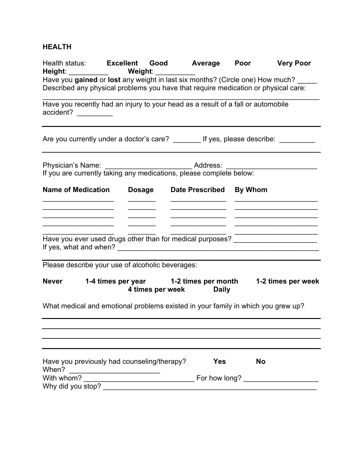## **HEALTH**

|                           | Health status: Excellent Good Average Poor Very Poor<br>Height: ___________   Weight: __________                                                                                                                               |                                  |           |                                                 |
|---------------------------|--------------------------------------------------------------------------------------------------------------------------------------------------------------------------------------------------------------------------------|----------------------------------|-----------|-------------------------------------------------|
|                           | Have you gained or lost any weight in last six months? (Circle one) How much?                                                                                                                                                  |                                  |           |                                                 |
|                           | Described any physical problems you have that require medication or physical care:                                                                                                                                             |                                  |           |                                                 |
|                           | Have you recently had an injury to your head as a result of a fall or automobile                                                                                                                                               |                                  |           |                                                 |
| accident?                 |                                                                                                                                                                                                                                |                                  |           |                                                 |
|                           |                                                                                                                                                                                                                                |                                  |           |                                                 |
|                           | Are you currently under a doctor's care? ________ If yes, please describe: _________                                                                                                                                           |                                  |           |                                                 |
|                           |                                                                                                                                                                                                                                |                                  |           |                                                 |
|                           | Physician's Name: ________________________________ Address: ____________________                                                                                                                                               |                                  |           |                                                 |
|                           | If you are currently taking any medications, please complete below:                                                                                                                                                            |                                  |           |                                                 |
| <b>Name of Medication</b> | <b>Dosage</b>                                                                                                                                                                                                                  | Date Prescribed By Whom          |           |                                                 |
|                           |                                                                                                                                                                                                                                |                                  |           |                                                 |
|                           |                                                                                                                                                                                                                                |                                  |           |                                                 |
|                           |                                                                                                                                                                                                                                |                                  |           | <u> 2008 - Johann John Stone, mars et al. (</u> |
|                           | Have you ever used drugs other than for medical purposes? ______________________                                                                                                                                               |                                  |           |                                                 |
|                           |                                                                                                                                                                                                                                |                                  |           |                                                 |
|                           |                                                                                                                                                                                                                                |                                  |           |                                                 |
|                           | Please describe your use of alcoholic beverages:                                                                                                                                                                               |                                  |           |                                                 |
| <b>Never</b>              | 1-4 times per year 1-2 times per month 1-2 times per week                                                                                                                                                                      |                                  |           |                                                 |
|                           |                                                                                                                                                                                                                                | 4 times per week<br><b>Daily</b> |           |                                                 |
|                           | What medical and emotional problems existed in your family in which you grew up?                                                                                                                                               |                                  |           |                                                 |
|                           |                                                                                                                                                                                                                                |                                  |           |                                                 |
|                           |                                                                                                                                                                                                                                |                                  |           |                                                 |
|                           |                                                                                                                                                                                                                                |                                  |           |                                                 |
|                           |                                                                                                                                                                                                                                |                                  |           |                                                 |
|                           | Have you previously had counseling/therapy?                                                                                                                                                                                    | <b>Yes</b>                       | <b>No</b> |                                                 |
| When?                     |                                                                                                                                                                                                                                |                                  |           |                                                 |
|                           | Why did you stop? Notice that the matter of the state of the state of the state of the state of the state of the state of the state of the state of the state of the state of the state of the state of the state of the state |                                  |           |                                                 |
|                           |                                                                                                                                                                                                                                |                                  |           |                                                 |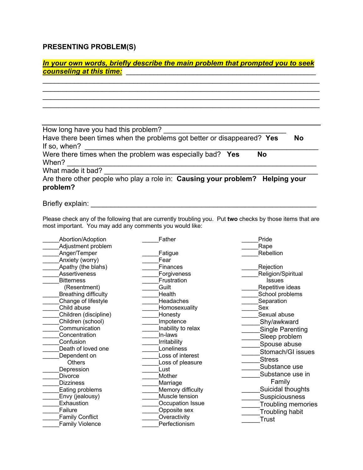## **PRESENTING PROBLEM(S)**

| In your own words, briefly describe the main problem that prompted you to seek<br><b>counseling at this time:</b>             |    |
|-------------------------------------------------------------------------------------------------------------------------------|----|
|                                                                                                                               |    |
| How long have you had this problem?<br>Have there been times when the problems got better or disappeared? Yes<br>If so, when? | No |
| Were there times when the problem was especially bad? Yes<br><b>No</b><br>When?<br>What made it bad?                          |    |
| Are there other people who play a role in: Causing your problem? Helping your<br>problem?                                     |    |

Briefly explain: \_\_\_\_\_\_\_\_\_\_\_\_\_\_\_\_\_\_\_\_\_\_\_\_\_\_\_\_\_\_\_\_\_\_\_\_\_\_\_\_\_\_\_\_\_\_\_\_\_\_\_\_\_\_\_\_\_

Please check any of the following that are currently troubling you. Put **two** checks by those items that are most important. You may add any comments you would like:

| Abortion/Adoption           | Father             | Pride                     |
|-----------------------------|--------------------|---------------------------|
| Adjustment problem          |                    | Rape                      |
| Anger/Temper                | Fatigue            | Rebellion                 |
| Anxiety (worry)             | Fear               |                           |
| Apathy (the blahs)          | Finances           | Rejection                 |
| Assertiveness               | Forgiveness        | Religion/Spiritual        |
| <b>Bitterness</b>           | Frustration        | <b>Issues</b>             |
| (Resentment)                | Guilt              | Repetitive ideas          |
| <b>Breathing difficulty</b> | Health             | School problems           |
| Change of lifestyle         | Headaches          | Separation                |
| Child abuse                 | Homosexuality      | Sex                       |
| Children (discipline)       | Honesty            | Sexual abuse              |
| Children (school)           | Impotence          | Shy/awkward               |
| Communication               | Inability to relax | <b>Single Parenting</b>   |
| Concentration               | In-laws            | Sleep problem             |
| Confusion                   | Irritability       | Spouse abuse              |
| Death of loved one          | Loneliness         | Stomach/GI issues         |
| Dependent on                | Loss of interest   | <b>Stress</b>             |
| <b>Others</b>               | Loss of pleasure   |                           |
| Depression                  | Lust               | Substance use             |
| <b>Divorce</b>              | Mother             | Substance use in          |
| <b>Dizziness</b>            | Marriage           | Family                    |
| Eating problems             | Memory difficulty  | Suicidal thoughts         |
| Envy (jealousy)             | Muscle tension     | <b>Suspiciousness</b>     |
| Exhaustion                  | Occupation Issue   | <b>Troubling memories</b> |
| Failure                     | Opposite sex       | <b>Troubling habit</b>    |
| <b>Family Conflict</b>      | Overactivity       | <b>Trust</b>              |
| <b>Family Violence</b>      | Perfectionism      |                           |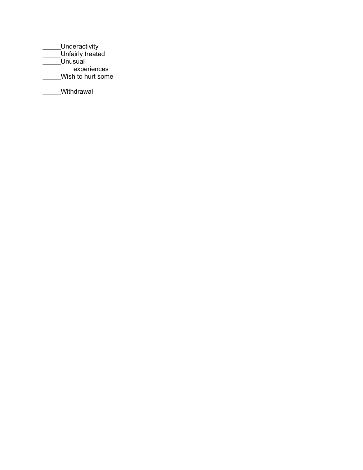\_\_\_\_\_Underactivity \_\_\_\_\_Unfairly treated \_\_\_\_\_Unusual experiences \_\_\_\_\_Wish to hurt some

Withdrawal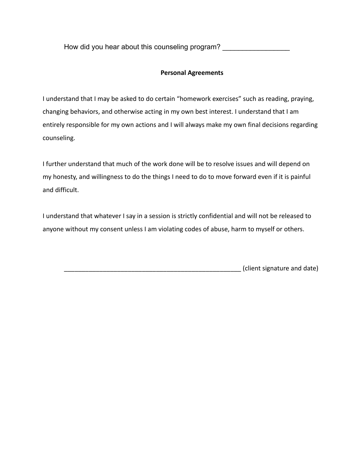How did you hear about this counseling program?

#### **Personal Agreements**

I understand that I may be asked to do certain "homework exercises" such as reading, praying, changing behaviors, and otherwise acting in my own best interest. I understand that I am entirely responsible for my own actions and I will always make my own final decisions regarding counseling.

I further understand that much of the work done will be to resolve issues and will depend on my honesty, and willingness to do the things I need to do to move forward even if it is painful and difficult.

I understand that whatever I say in a session is strictly confidential and will not be released to anyone without my consent unless I am violating codes of abuse, harm to myself or others.

\_\_\_\_\_\_\_\_\_\_\_\_\_\_\_\_\_\_\_\_\_\_\_\_\_\_\_\_\_\_\_\_\_\_\_\_\_\_\_\_\_\_\_\_\_\_\_\_\_\_ (client signature and date)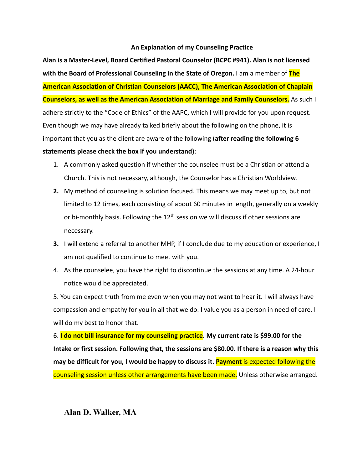#### **An Explanation of my Counseling Practice**

**Alan is a Master-Level, Board Certified Pastoral Counselor (BCPC #941). Alan is not licensed with the Board of Professional Counseling in the State of Oregon.** I am a member of **The American Association of Christian Counselors (AACC), The American Association of Chaplain Counselors, as well as the American Association of Marriage and Family Counselors.** As such I adhere strictly to the "Code of Ethics" of the AAPC, which I will provide for you upon request. Even though we may have already talked briefly about the following on the phone, it is important that you as the client are aware of the following (**after reading the following 6 statements please check the box if you understand)**:

- 1. A commonly asked question if whether the counselee must be a Christian or attend a Church. This is not necessary, although, the Counselor has a Christian Worldview.
- **2.** My method of counseling is solution focused. This means we may meet up to, but not limited to 12 times, each consisting of about 60 minutes in length, generally on a weekly or bi-monthly basis. Following the  $12<sup>th</sup>$  session we will discuss if other sessions are necessary.
- **3.** I will extend a referral to another MHP, if I conclude due to my education or experience, I am not qualified to continue to meet with you.
- 4. As the counselee, you have the right to discontinue the sessions at any time. A 24-hour notice would be appreciated.

5. You can expect truth from me even when you may not want to hear it. I will always have compassion and empathy for you in all that we do. I value you as a person in need of care. I will do my best to honor that.

6. **I do not bill insurance for my counseling practice. My current rate is \$99.00 for the Intake or first session. Following that, the sessions are \$80.00. If there is a reason why this may be difficult for you, I would be happy to discuss it. Payment** is expected following the counseling session unless other arrangements have been made. Unless otherwise arranged.

#### **Alan D. Walker, MA**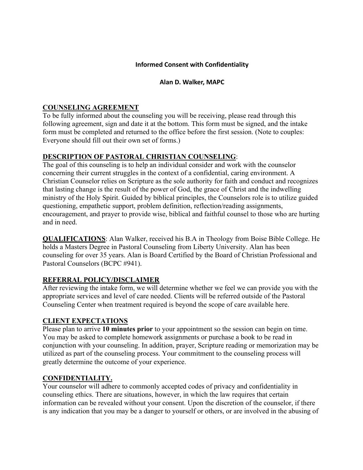#### **Informed Consent with Confidentiality**

#### **Alan D. Walker, MAPC**

### **COUNSELING AGREEMENT**

To be fully informed about the counseling you will be receiving, please read through this following agreement, sign and date it at the bottom. This form must be signed, and the intake form must be completed and returned to the office before the first session. (Note to couples: Everyone should fill out their own set of forms.)

## **DESCRIPTION OF PASTORAL CHRISTIAN COUNSELING**:

The goal of this counseling is to help an individual consider and work with the counselor concerning their current struggles in the context of a confidential, caring environment. A Christian Counselor relies on Scripture as the sole authority for faith and conduct and recognizes that lasting change is the result of the power of God, the grace of Christ and the indwelling ministry of the Holy Spirit. Guided by biblical principles, the Counselors role is to utilize guided questioning, empathetic support, problem definition, reflection/reading assignments, encouragement, and prayer to provide wise, biblical and faithful counsel to those who are hurting and in need.

**QUALIFICATIONS**: Alan Walker, received his B.A in Theology from Boise Bible College. He holds a Masters Degree in Pastoral Counseling from Liberty University. Alan has been counseling for over 35 years. Alan is Board Certified by the Board of Christian Professional and Pastoral Counselors (BCPC #941).

#### **REFERRAL POLICY/DISCLAIMER**

After reviewing the intake form, we will determine whether we feel we can provide you with the appropriate services and level of care needed. Clients will be referred outside of the Pastoral Counseling Center when treatment required is beyond the scope of care available here.

#### **CLIENT EXPECTATIONS**

Please plan to arrive **10 minutes prior** to your appointment so the session can begin on time. You may be asked to complete homework assignments or purchase a book to be read in conjunction with your counseling. In addition, prayer, Scripture reading or memorization may be utilized as part of the counseling process. Your commitment to the counseling process will greatly determine the outcome of your experience.

## **CONFIDENTIALITY.**

Your counselor will adhere to commonly accepted codes of privacy and confidentiality in counseling ethics. There are situations, however, in which the law requires that certain information can be revealed without your consent. Upon the discretion of the counselor, if there is any indication that you may be a danger to yourself or others, or are involved in the abusing of